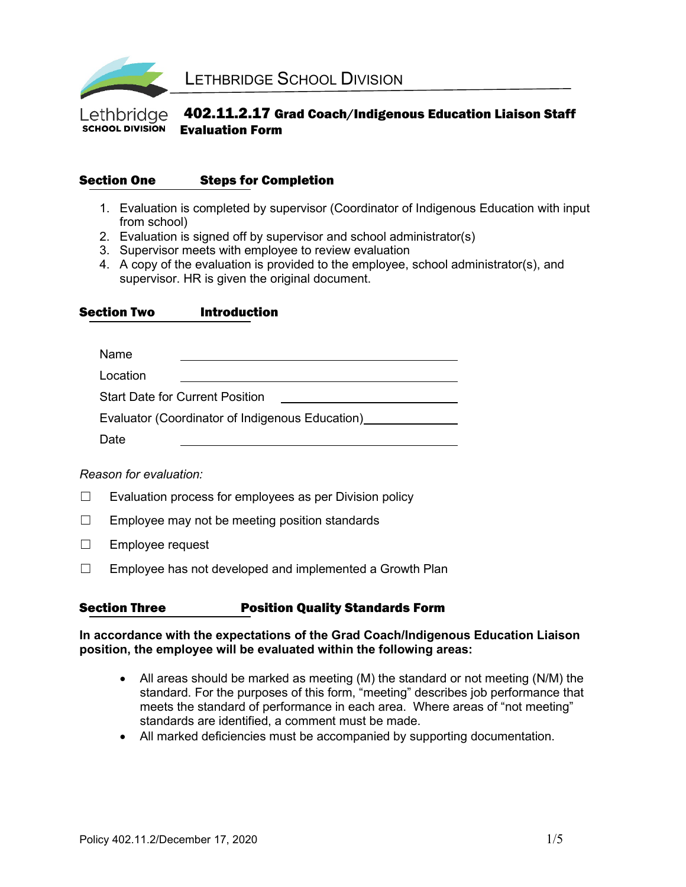

#### 402.11.2.17 Grad Coach/Indigenous Education Liaison Staff Lethbridae **SCHOOL DIVISION** Evaluation Form

## Section One Steps for Completion

- 1. Evaluation is completed by supervisor (Coordinator of Indigenous Education with input from school)
- 2. Evaluation is signed off by supervisor and school administrator(s)
- 3. Supervisor meets with employee to review evaluation
- 4. A copy of the evaluation is provided to the employee, school administrator(s), and supervisor. HR is given the original document.

Section Two Introduction

| Name                                            |  |  |  |  |
|-------------------------------------------------|--|--|--|--|
| Location                                        |  |  |  |  |
| <b>Start Date for Current Position</b>          |  |  |  |  |
| Evaluator (Coordinator of Indigenous Education) |  |  |  |  |
| Date                                            |  |  |  |  |

### *Reason for evaluation:*

- $\Box$  Evaluation process for employees as per Division policy
- $\Box$  Employee may not be meeting position standards
- ☐ Employee request
- $\Box$  Employee has not developed and implemented a Growth Plan

### Section Three **Position Quality Standards Form**

#### **In accordance with the expectations of the Grad Coach/Indigenous Education Liaison position, the employee will be evaluated within the following areas:**

- All areas should be marked as meeting (M) the standard or not meeting (N/M) the standard. For the purposes of this form, "meeting" describes job performance that meets the standard of performance in each area. Where areas of "not meeting" standards are identified, a comment must be made.
- All marked deficiencies must be accompanied by supporting documentation.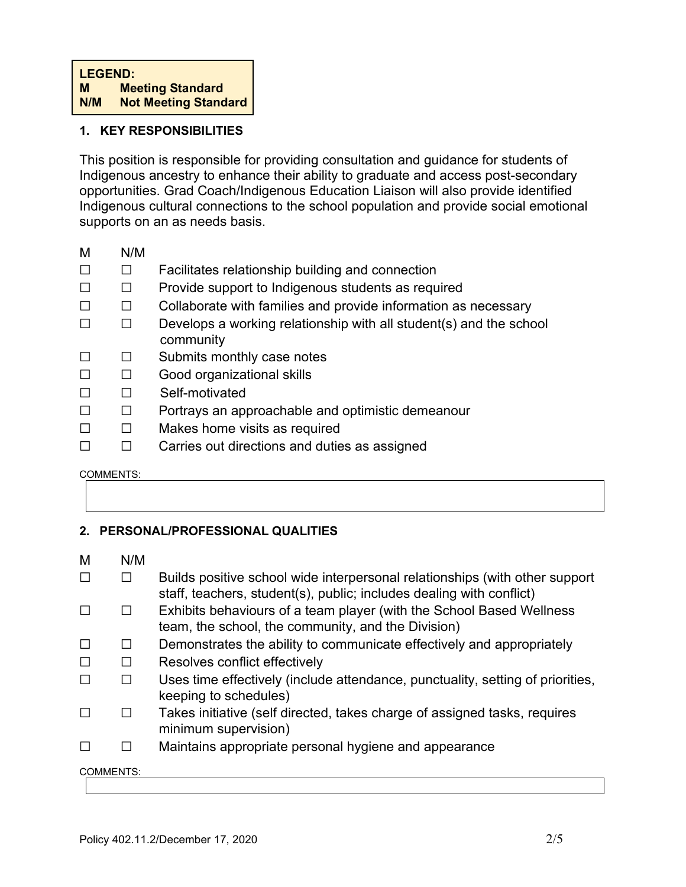## **1. KEY RESPONSIBILITIES**

This position is responsible for providing consultation and guidance for students of Indigenous ancestry to enhance their ability to graduate and access post-secondary opportunities. Grad Coach/Indigenous Education Liaison will also provide identified Indigenous cultural connections to the school population and provide social emotional supports on an as needs basis.

- M N/M
- ☐ ☐ Facilitates relationship building and connection
- ☐ ☐ Provide support to Indigenous students as required
- ☐ ☐ Collaborate with families and provide information as necessary
- $\Box$   $\Box$  Develops a working relationship with all student(s) and the school community
- ☐ ☐ Submits monthly case notes
- ☐ ☐ Good organizational skills
- ☐ ☐ Self-motivated
- ☐ ☐ Portrays an approachable and optimistic demeanour
- ☐ ☐ Makes home visits as required
- ☐ ☐ Carries out directions and duties as assigned

#### COMMENTS:

### **2. PERSONAL/PROFESSIONAL QUALITIES**

M N/M

|                  |              | Builds positive school wide interpersonal relationships (with other support<br>staff, teachers, student(s), public; includes dealing with conflict) |
|------------------|--------------|-----------------------------------------------------------------------------------------------------------------------------------------------------|
| Г                | H            | Exhibits behaviours of a team player (with the School Based Wellness<br>team, the school, the community, and the Division)                          |
| П                | ΙI           | Demonstrates the ability to communicate effectively and appropriately                                                                               |
|                  | П            | Resolves conflict effectively                                                                                                                       |
|                  | $\mathsf{L}$ | Uses time effectively (include attendance, punctuality, setting of priorities,<br>keeping to schedules)                                             |
| $\Box$           |              | Takes initiative (self directed, takes charge of assigned tasks, requires<br>minimum supervision)                                                   |
|                  |              | Maintains appropriate personal hygiene and appearance                                                                                               |
| <b>COMMENTS:</b> |              |                                                                                                                                                     |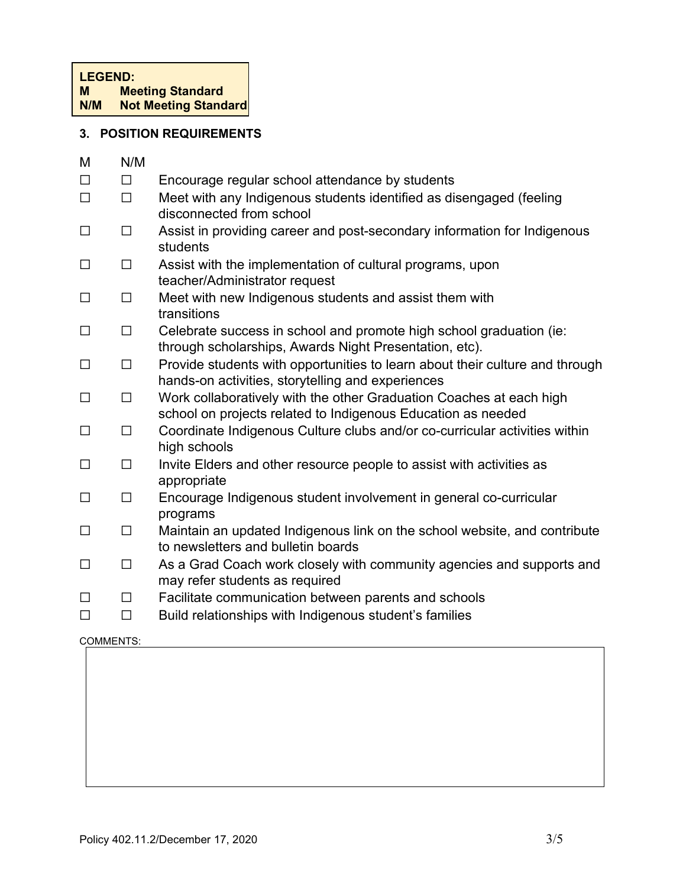# **3. POSITION REQUIREMENTS**

| M      | N/M    |                                                                                                                                     |
|--------|--------|-------------------------------------------------------------------------------------------------------------------------------------|
| $\Box$ | $\Box$ | Encourage regular school attendance by students                                                                                     |
| $\Box$ | $\Box$ | Meet with any Indigenous students identified as disengaged (feeling<br>disconnected from school                                     |
| $\Box$ | $\Box$ | Assist in providing career and post-secondary information for Indigenous<br>students                                                |
| $\Box$ | $\Box$ | Assist with the implementation of cultural programs, upon<br>teacher/Administrator request                                          |
| $\Box$ | $\Box$ | Meet with new Indigenous students and assist them with<br>transitions                                                               |
| $\Box$ | $\Box$ | Celebrate success in school and promote high school graduation (ie:<br>through scholarships, Awards Night Presentation, etc).       |
| $\Box$ | $\Box$ | Provide students with opportunities to learn about their culture and through<br>hands-on activities, storytelling and experiences   |
| $\Box$ | $\Box$ | Work collaboratively with the other Graduation Coaches at each high<br>school on projects related to Indigenous Education as needed |
| $\Box$ | $\Box$ | Coordinate Indigenous Culture clubs and/or co-curricular activities within<br>high schools                                          |
| $\Box$ | $\Box$ | Invite Elders and other resource people to assist with activities as<br>appropriate                                                 |
| $\Box$ | $\Box$ | Encourage Indigenous student involvement in general co-curricular<br>programs                                                       |
| $\Box$ | $\Box$ | Maintain an updated Indigenous link on the school website, and contribute<br>to newsletters and bulletin boards                     |
| $\Box$ | $\Box$ | As a Grad Coach work closely with community agencies and supports and<br>may refer students as required                             |
| $\Box$ | $\Box$ | Facilitate communication between parents and schools                                                                                |
| $\Box$ | $\Box$ | Build relationships with Indigenous student's families                                                                              |

#### COMMENTS: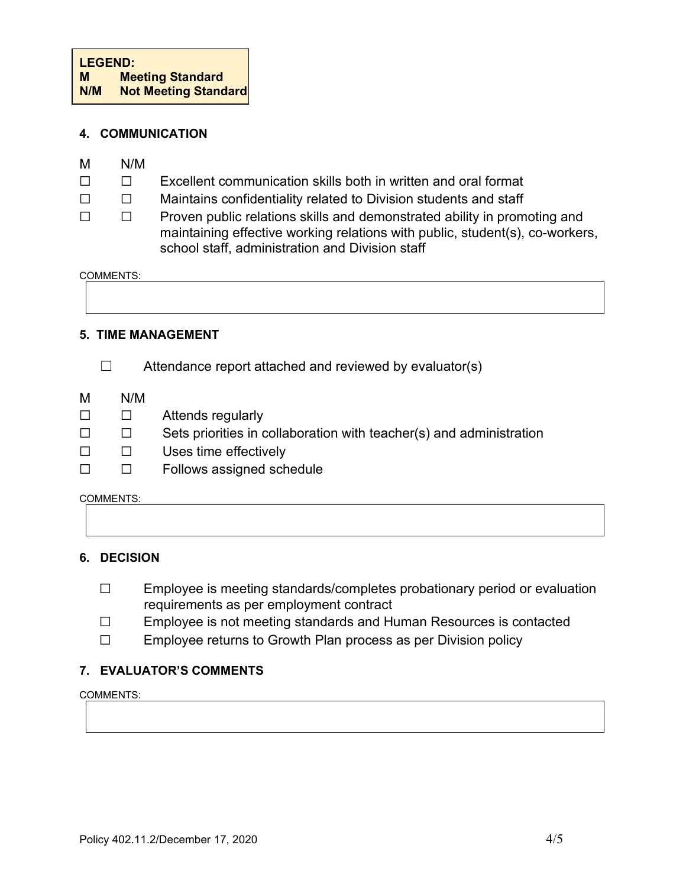## **4. COMMUNICATION**

- M N/M
- ☐ ☐ Excellent communication skills both in written and oral format
- □ □ Maintains confidentiality related to Division students and staff
- ☐ ☐ Proven public relations skills and demonstrated ability in promoting and maintaining effective working relations with public, student(s), co-workers, school staff, administration and Division staff

COMMENTS:

## **5. TIME MANAGEMENT**

- $\Box$  Attendance report attached and reviewed by evaluator(s)
- M N/M
- ☐ ☐ Attends regularly
- ☐ ☐ Sets priorities in collaboration with teacher(s) and administration
- ☐ ☐ Uses time effectively
- ☐ ☐ Follows assigned schedule

COMMENTS:

## **6. DECISION**

- ☐ Employee is meeting standards/completes probationary period or evaluation requirements as per employment contract
- ☐ Employee is not meeting standards and Human Resources is contacted
- ☐ Employee returns to Growth Plan process as per Division policy

## **7. EVALUATOR'S COMMENTS**

#### COMMENTS: